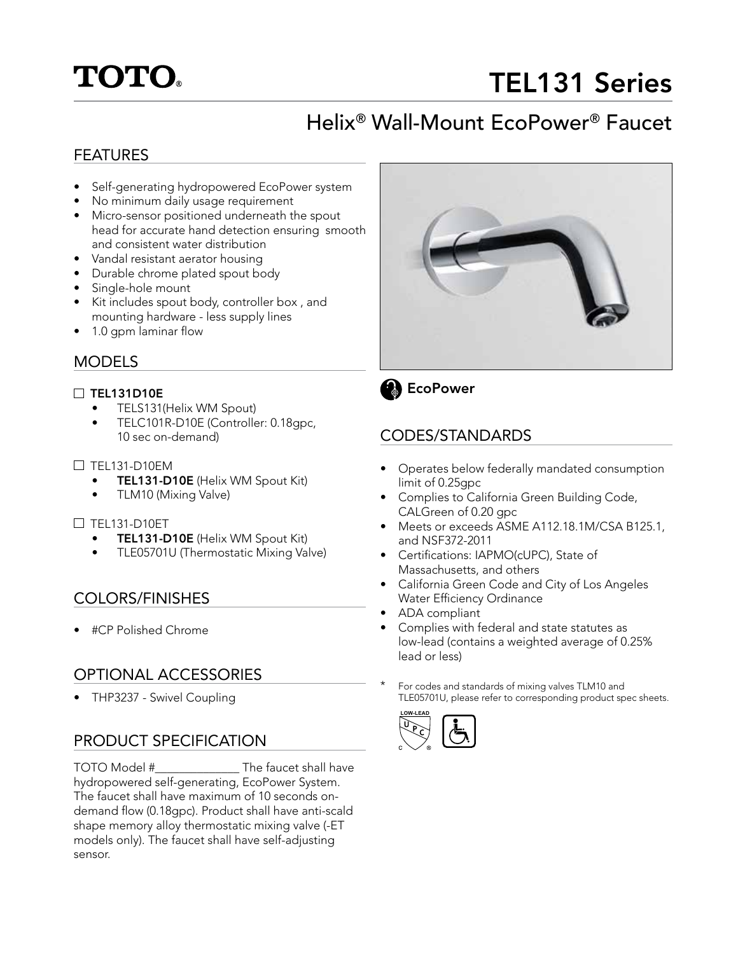# **TOTO.**

## TEL131 Series

### Helix® Wall-Mount EcoPower® Faucet

#### FEATURES

- Self-generating hydropowered EcoPower system
- No minimum daily usage requirement
- Micro-sensor positioned underneath the spout head for accurate hand detection ensuring smooth and consistent water distribution
- Vandal resistant aerator housing
- Durable chrome plated spout body
- Single-hole mount
- Kit includes spout body, controller box , and mounting hardware - less supply lines
- 1.0 gpm laminar flow

#### MODELS

#### $\Box$  TEL131D10E

- TELS131(Helix WM Spout)
- TELC101R-D10E (Controller: 0.18gpc, 10 sec on-demand)

#### $\Box$  TEL131-D10EM

- TEL131-D10E (Helix WM Spout Kit)
- TLM10 (Mixing Valve)

#### TEL131-D10ET

- TEL131-D10E (Helix WM Spout Kit)
- TLE05701U (Thermostatic Mixing Valve)

#### COLORS/FINISHES

• #CP Polished Chrome

#### OPTIONAL ACCESSORIES

• THP3237 - Swivel Coupling

#### PRODUCT SPECIFICATION

TOTO Model #\_\_\_\_\_\_\_\_\_\_\_\_\_\_ The faucet shall have hydropowered self-generating, EcoPower System. The faucet shall have maximum of 10 seconds ondemand flow (0.18gpc). Product shall have anti-scald shape memory alloy thermostatic mixing valve (-ET models only). The faucet shall have self-adjusting sensor.





CODES/STANDARDS

#### • Operates below federally mandated consumption limit of 0.25gpc

- Complies to California Green Building Code, CALGreen of 0.20 gpc
- Meets or exceeds ASME A112.18.1M/CSA B125.1, and NSF372-2011
- Certifications: IAPMO(cUPC), State of Massachusetts, and others
- California Green Code and City of Los Angeles Water Efficiency Ordinance
- ADA compliant
- Complies with federal and state statutes as low-lead (contains a weighted average of 0.25% lead or less)
- For codes and standards of mixing valves TLM10 and TLE05701U, please refer to corresponding product spec sheets.